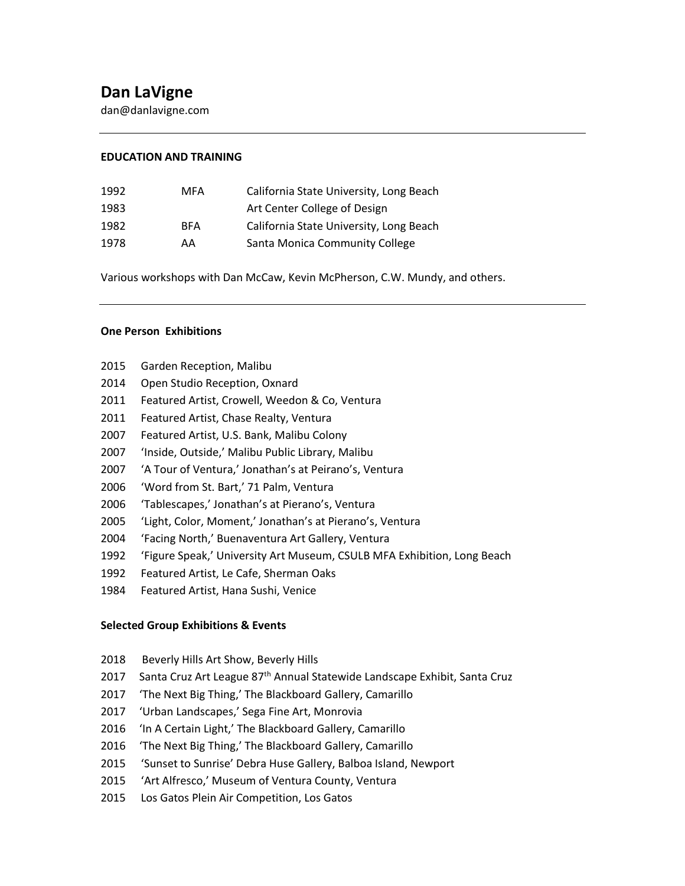dan@danlavigne.com

#### **EDUCATION AND TRAINING**

| 1992 | MFA        | California State University, Long Beach |
|------|------------|-----------------------------------------|
| 1983 |            | Art Center College of Design            |
| 1982 | <b>RFA</b> | California State University, Long Beach |
| 1978 | AA         | Santa Monica Community College          |

Various workshops with Dan McCaw, Kevin McPherson, C.W. Mundy, and others.

# **One Person Exhibitions**

- Garden Reception, Malibu
- Open Studio Reception, Oxnard
- Featured Artist, Crowell, Weedon & Co, Ventura
- Featured Artist, Chase Realty, Ventura
- Featured Artist, U.S. Bank, Malibu Colony
- 'Inside, Outside,' Malibu Public Library, Malibu
- 'A Tour of Ventura,' Jonathan's at Peirano's, Ventura
- 'Word from St. Bart,' 71 Palm, Ventura
- 'Tablescapes,' Jonathan's at Pierano's, Ventura
- 'Light, Color, Moment,' Jonathan's at Pierano's, Ventura
- 'Facing North,' Buenaventura Art Gallery, Ventura
- 'Figure Speak,' University Art Museum, CSULB MFA Exhibition, Long Beach
- Featured Artist, Le Cafe, Sherman Oaks
- Featured Artist, Hana Sushi, Venice

#### **Selected Group Exhibitions & Events**

- 2018 Beverly Hills Art Show, Beverly Hills
- 2017 Santa Cruz Art League 87<sup>th</sup> Annual Statewide Landscape Exhibit, Santa Cruz
- 2017 'The Next Big Thing,' The Blackboard Gallery, Camarillo
- 2017 'Urban Landscapes,' Sega Fine Art, Monrovia
- 2016 'In A Certain Light,' The Blackboard Gallery, Camarillo
- 2016 'The Next Big Thing,' The Blackboard Gallery, Camarillo
- 'Sunset to Sunrise' Debra Huse Gallery, Balboa Island, Newport
- 'Art Alfresco,' Museum of Ventura County, Ventura
- Los Gatos Plein Air Competition, Los Gatos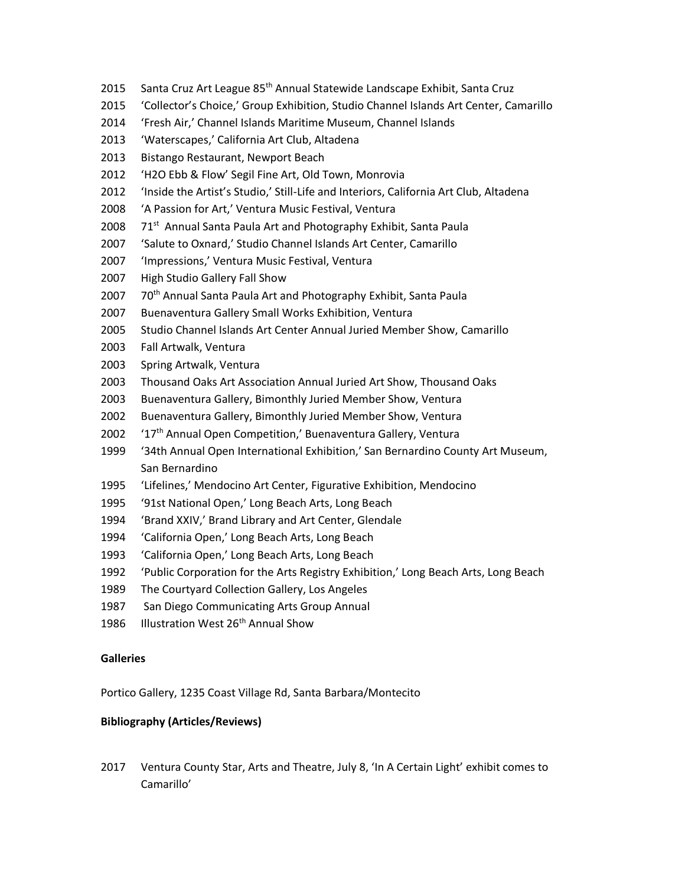- Santa Cruz Art League 85th Annual Statewide Landscape Exhibit, Santa Cruz
- 'Collector's Choice,' Group Exhibition, Studio Channel Islands Art Center, Camarillo
- 'Fresh Air,' Channel Islands Maritime Museum, Channel Islands
- 'Waterscapes,' California Art Club, Altadena
- Bistango Restaurant, Newport Beach
- 'H2O Ebb & Flow' Segil Fine Art, Old Town, Monrovia
- 'Inside the Artist's Studio,' Still-Life and Interiors, California Art Club, Altadena
- 'A Passion for Art,' Ventura Music Festival, Ventura
- 71<sup>st</sup> Annual Santa Paula Art and Photography Exhibit, Santa Paula
- 'Salute to Oxnard,' Studio Channel Islands Art Center, Camarillo
- 'Impressions,' Ventura Music Festival, Ventura
- High Studio Gallery Fall Show
- 70<sup>th</sup> Annual Santa Paula Art and Photography Exhibit, Santa Paula
- Buenaventura Gallery Small Works Exhibition, Ventura
- Studio Channel Islands Art Center Annual Juried Member Show, Camarillo
- Fall Artwalk, Ventura
- Spring Artwalk, Ventura
- Thousand Oaks Art Association Annual Juried Art Show, Thousand Oaks
- Buenaventura Gallery, Bimonthly Juried Member Show, Ventura
- Buenaventura Gallery, Bimonthly Juried Member Show, Ventura
- 2002 '17<sup>th</sup> Annual Open Competition,' Buenaventura Gallery, Ventura
- '34th Annual Open International Exhibition,' San Bernardino County Art Museum, San Bernardino
- 'Lifelines,' Mendocino Art Center, Figurative Exhibition, Mendocino
- '91st National Open,' Long Beach Arts, Long Beach
- 'Brand XXIV,' Brand Library and Art Center, Glendale
- 'California Open,' Long Beach Arts, Long Beach
- 'California Open,' Long Beach Arts, Long Beach
- 'Public Corporation for the Arts Registry Exhibition,' Long Beach Arts, Long Beach
- The Courtyard Collection Gallery, Los Angeles
- San Diego Communicating Arts Group Annual
- 1986 Illustration West 26<sup>th</sup> Annual Show

## **Galleries**

Portico Gallery, 1235 Coast Village Rd, Santa Barbara/Montecito

## **Bibliography (Articles/Reviews)**

 Ventura County Star, Arts and Theatre, July 8, 'In A Certain Light' exhibit comes to Camarillo'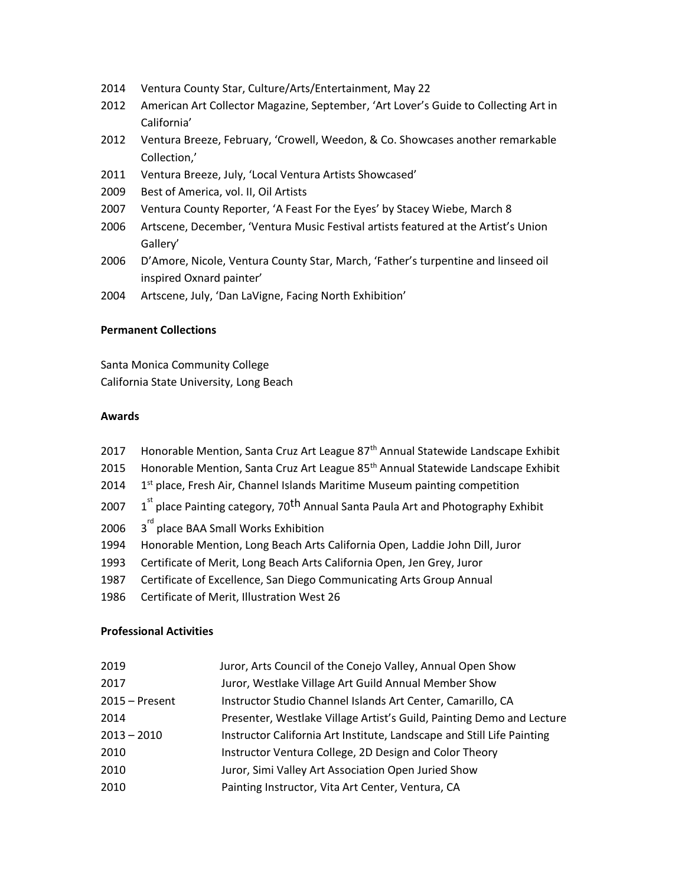- Ventura County Star, Culture/Arts/Entertainment, May 22
- American Art Collector Magazine, September, 'Art Lover's Guide to Collecting Art in California'
- Ventura Breeze, February, 'Crowell, Weedon, & Co. Showcases another remarkable Collection,'
- Ventura Breeze, July, 'Local Ventura Artists Showcased'
- Best of America, vol. II, Oil Artists
- Ventura County Reporter, 'A Feast For the Eyes' by Stacey Wiebe, March 8
- Artscene, December, 'Ventura Music Festival artists featured at the Artist's Union Gallery'
- D'Amore, Nicole, Ventura County Star, March, 'Father's turpentine and linseed oil inspired Oxnard painter'
- Artscene, July, 'Dan LaVigne, Facing North Exhibition'

### **Permanent Collections**

Santa Monica Community College California State University, Long Beach

### **Awards**

- 2017 Honorable Mention, Santa Cruz Art League 87<sup>th</sup> Annual Statewide Landscape Exhibit
- 2015 Honorable Mention, Santa Cruz Art League 85<sup>th</sup> Annual Statewide Landscape Exhibit
- 1<sup>st</sup> place, Fresh Air, Channel Islands Maritime Museum painting competition
- <sup>st</sup> place Painting category, 70<sup>th</sup> Annual Santa Paula Art and Photography Exhibit
- <sup>rd</sup> place BAA Small Works Exhibition
- Honorable Mention, Long Beach Arts California Open, Laddie John Dill, Juror
- Certificate of Merit, Long Beach Arts California Open, Jen Grey, Juror
- Certificate of Excellence, San Diego Communicating Arts Group Annual
- Certificate of Merit, Illustration West 26

## **Professional Activities**

| 2019             | Juror, Arts Council of the Conejo Valley, Annual Open Show             |
|------------------|------------------------------------------------------------------------|
| 2017             | Juror, Westlake Village Art Guild Annual Member Show                   |
| $2015 -$ Present | Instructor Studio Channel Islands Art Center, Camarillo, CA            |
| 2014             | Presenter, Westlake Village Artist's Guild, Painting Demo and Lecture  |
| $2013 - 2010$    | Instructor California Art Institute, Landscape and Still Life Painting |
| 2010             | Instructor Ventura College, 2D Design and Color Theory                 |
| 2010             | Juror, Simi Valley Art Association Open Juried Show                    |
| 2010             | Painting Instructor, Vita Art Center, Ventura, CA                      |